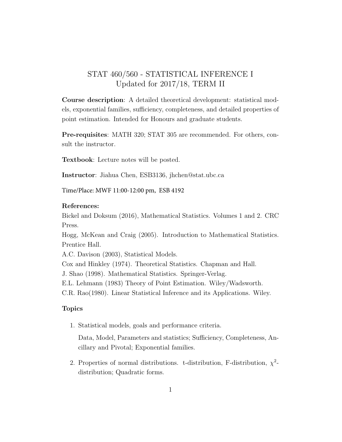## STAT 460/560 - STATISTICAL INFERENCE I Updated for 2017/18, TERM II

Course description: A detailed theoretical development: statistical models, exponential families, sufficiency, completeness, and detailed properties of point estimation. Intended for Honours and graduate students.

Pre-requisites: MATH 320; STAT 305 are recommended. For others, consult the instructor.

Textbook: Lecture notes will be posted.

Instructor: Jiahua Chen, ESB3136, jhchen@stat.ubc.ca

Time/Place: MWF 11:00-12:00 pm, ESB 4192

## References:

Bickel and Doksum (2016), Mathematical Statistics. Volumes 1 and 2. CRC Press.

Hogg, McKean and Craig (2005). Introduction to Mathematical Statistics. Prentice Hall.

A.C. Davison (2003), Statistical Models.

Cox and Hinkley (1974). Theoretical Statistics. Chapman and Hall.

J. Shao (1998). Mathematical Statistics. Springer-Verlag.

E.L. Lehmann (1983) Theory of Point Estimation. Wiley/Wadsworth.

C.R. Rao(1980). Linear Statistical Inference and its Applications. Wiley.

## Topics

1. Statistical models, goals and performance criteria.

Data, Model, Parameters and statistics; Sufficiency, Completeness, Ancillary and Pivotal; Exponential families.

2. Properties of normal distributions. t-distribution, F-distribution,  $\chi^2$ distribution; Quadratic forms.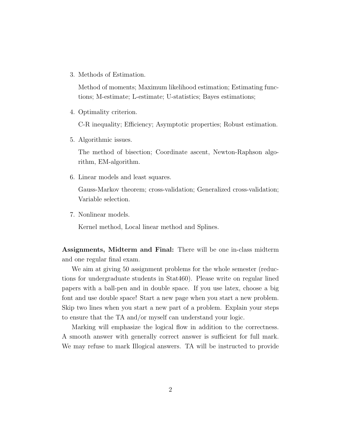3. Methods of Estimation.

Method of moments; Maximum likelihood estimation; Estimating functions; M-estimate; L-estimate; U-statistics; Bayes estimations;

4. Optimality criterion.

C-R inequality; Efficiency; Asymptotic properties; Robust estimation.

5. Algorithmic issues.

The method of bisection; Coordinate ascent, Newton-Raphson algorithm, EM-algorithm.

6. Linear models and least squares.

Gauss-Markov theorem; cross-validation; Generalized cross-validation; Variable selection.

7. Nonlinear models.

Kernel method, Local linear method and Splines.

Assignments, Midterm and Final: There will be one in-class midterm and one regular final exam.

We aim at giving 50 assignment problems for the whole semester (reductions for undergraduate students in Stat460). Please write on regular lined papers with a ball-pen and in double space. If you use latex, choose a big font and use double space! Start a new page when you start a new problem. Skip two lines when you start a new part of a problem. Explain your steps to ensure that the TA and/or myself can understand your logic.

Marking will emphasize the logical flow in addition to the correctness. A smooth answer with generally correct answer is sufficient for full mark. We may refuse to mark Illogical answers. TA will be instructed to provide